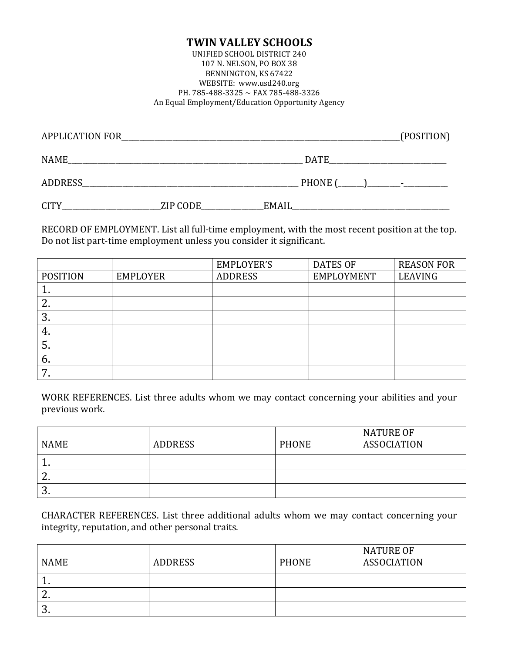## **TWIN VALLEY SCHOOLS**

UNIFIED SCHOOL DISTRICT 240 107 N. NELSON, PO BOX 38 BENNINGTON, KS 67422 WEBSITE: www.usd240.org PH. 785-488-3325 ~ FAX 785-488-3326 An Equal Employment/Education Opportunity Agency

| <b>APPLICATION FOR</b> |          |              | (POSITION) |
|------------------------|----------|--------------|------------|
| <b>NAME</b>            |          | <b>DATE</b>  |            |
| <b>ADDRESS</b>         |          | PHONE (      |            |
| <b>CITY</b>            | ZIP CODE | <b>EMAIL</b> |            |

RECORD OF EMPLOYMENT. List all full-time employment, with the most recent position at the top. Do not list part-time employment unless you consider it significant.

|                 |                 | <b>EMPLOYER'S</b> | <b>DATES OF</b> | <b>REASON FOR</b> |
|-----------------|-----------------|-------------------|-----------------|-------------------|
| <b>POSITION</b> | <b>EMPLOYER</b> | <b>ADDRESS</b>    | EMPLOYMENT      | LEAVING           |
| ᅩ               |                 |                   |                 |                   |
| ۷.              |                 |                   |                 |                   |
| 3.              |                 |                   |                 |                   |
| 4.              |                 |                   |                 |                   |
| 5.              |                 |                   |                 |                   |
| b.              |                 |                   |                 |                   |
|                 |                 |                   |                 |                   |

WORK REFERENCES. List three adults whom we may contact concerning your abilities and your previous work.

| <b>NAME</b> | <b>ADDRESS</b> | <b>PHONE</b> | <b>NATURE OF</b><br>ASSOCIATION |
|-------------|----------------|--------------|---------------------------------|
| . .         |                |              |                                 |
| <u>.</u>    |                |              |                                 |
| ຸບ.         |                |              |                                 |

CHARACTER REFERENCES. List three additional adults whom we may contact concerning your integrity, reputation, and other personal traits.

| <b>NAME</b> | <b>ADDRESS</b> | <b>PHONE</b> | NATURE OF<br><b>ASSOCIATION</b> |
|-------------|----------------|--------------|---------------------------------|
| . .         |                |              |                                 |
| <u>.</u>    |                |              |                                 |
| ຸບ.         |                |              |                                 |